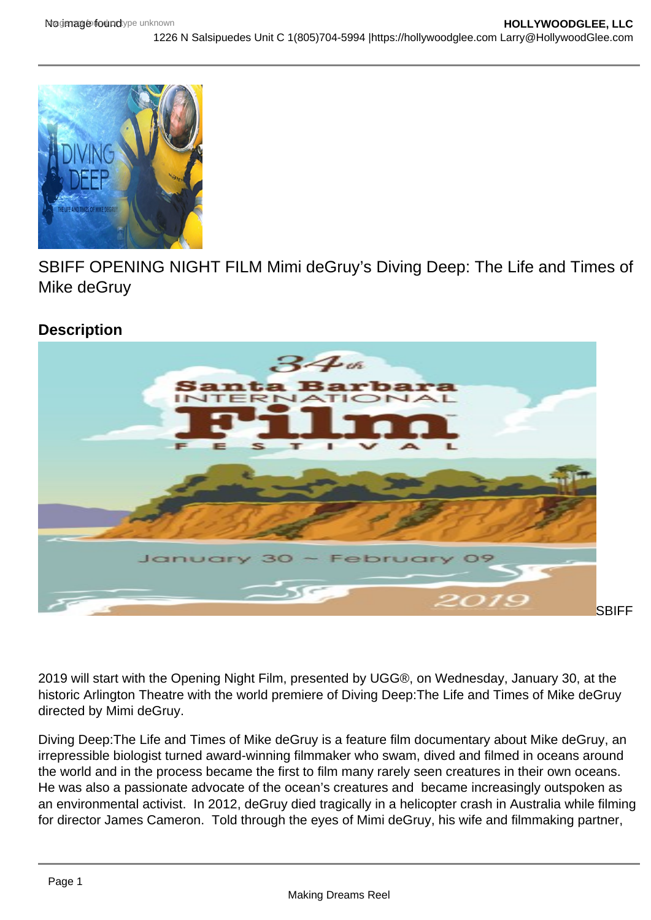## SBIFF OPENING NIGHT FILM Mimi deGruy's Diving Deep: The Life and Times of Mike deGruy

**Description** 

Posted by [Larry Gleeson](https://studentfilmreviews.org/?s=larry+gleeson)

**SBIFF** 

2019 will start with the Opening Night Film, presented by UGG®, on Wednesday, January 30, at the historic Arlington Theatre with the world premiere of Diving Deep:The Life and Times of Mike deGruy directed by Mimi deGruy.

Diving Deep:The Life and Times of Mike deGruy is a feature film documentary about Mike deGruy, an irrepressible biologist turned award-winning filmmaker who swam, dived and filmed in oceans around the world and in the process became the first to film many rarely seen creatures in their own oceans. He was also a passionate advocate of the ocean's creatures and became increasingly outspoken as an environmental activist. In 2012, deGruy died tragically in a helicopter crash in Australia while filming for director James Cameron. Told through the eyes of Mimi deGruy, his wife and filmmaking partner,